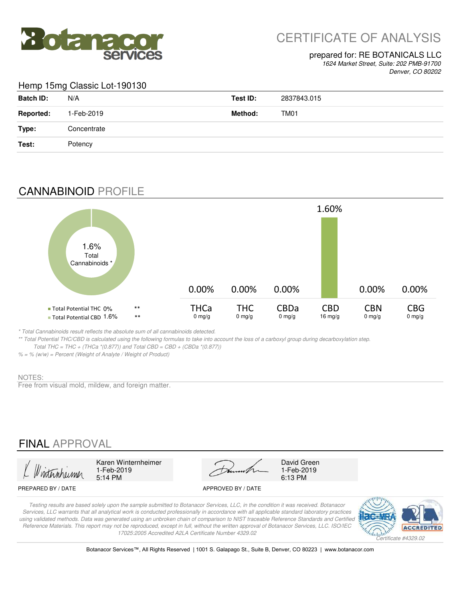

# CERTIFICATE OF ANALYSIS

#### prepared for: RE BOTANICALS LLC

*1624 Market Street, Suite: 202 PMB-91700 Denver, CO 80202*

#### Hemp 15mg Classic Lot-190130

| <b>Batch ID:</b> | N/A         | Test ID: | 2837843.015 |
|------------------|-------------|----------|-------------|
| <b>Reported:</b> | 1-Feb-2019  | Method:  | TM01        |
| Type:            | Concentrate |          |             |
| Test:            | Potency     |          |             |

## CANNABINOID PROFILE



*\* Total Cannabinoids result reflects the absolute sum of all cannabinoids detected.*

*\*\* Total Potential THC/CBD is calculated using the following formulas to take into account the loss of a carboxyl group during decarboxylation step.* 

 *Total THC = THC + (THCa \*(0.877)) and Total CBD = CBD + (CBDa \*(0.877))*

*% = % (w/w) = Percent (Weight of Analyte / Weight of Product)*

#### NOTES:

Free from visual mold, mildew, and foreign matter.

## FINAL APPROVAL

5:14 PM 6:13 PM 1-Feb-2019<br>5:14 PM

Karen Winternheimer David Green

1-Feb-2019

#### PREPARED BY / DATE APPROVED BY / DATE

*Testing results are based solely upon the sample submitted to Botanacor Services, LLC, in the condition it was received. Botanacor Services, LLC warrants that all analytical work is conducted professionally in accordance with all applicable standard laboratory practices using validated methods. Data was generated using an unbroken chain of comparison to NIST traceable Reference Standards and Certified Reference Materials. This report may not be reproduced, except in full, without the written approval of Botanacor Services, LLC. ISO/IEC 17025:2005 Accredited A2LA Certificate Number 4329.02*



Botanacor Services™, All Rights Reserved | 1001 S. Galapago St., Suite B, Denver, CO 80223 | www.botanacor.com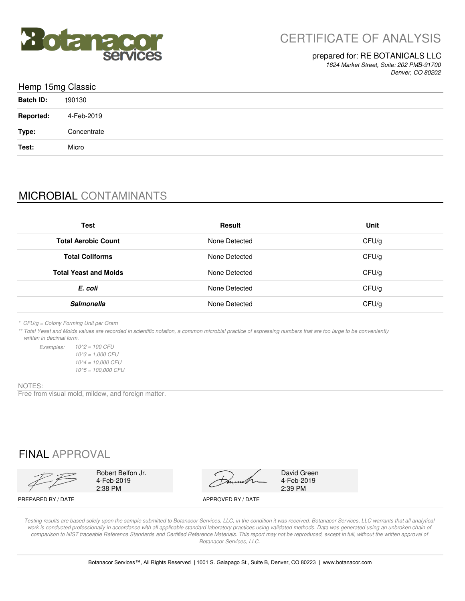

#### prepared for: RE BOTANICALS LLC

*1624 Market Street, Suite: 202 PMB-91700 Denver, CO 80202*

| Hemp 15mg Classic |             |
|-------------------|-------------|
| <b>Batch ID:</b>  | 190130      |
| <b>Reported:</b>  | 4-Feb-2019  |
| Type:             | Concentrate |
| Test:             | Micro       |
|                   |             |

# MICROBIAL CONTAMINANTS

| <b>Test</b>                  | Result        | Unit  |
|------------------------------|---------------|-------|
| <b>Total Aerobic Count</b>   | None Detected | CFU/g |
| <b>Total Coliforms</b>       | None Detected | CFU/g |
| <b>Total Yeast and Molds</b> | None Detected | CFU/g |
| E. coli                      | None Detected | CFU/g |
| <b>Salmonella</b>            | None Detected | CFU/g |

*\* CFU/g = Colony Forming Unit per Gram*

*Examples:*

*\*\* Total Yeast and Molds values are recorded in scientific notation, a common microbial practice of expressing numbers that are too large to be conveniently written in decimal form.*

> *10^5 = 100,000 CFU 10^2 = 100 CFU 10^3 = 1,000 CFU 10^4 = 10,000 CFU*

#### NOTES:

Free from visual mold, mildew, and foreign matter.

FINAL APPROVAL

2:38 PM 2:39 PM 4-Feb-2019

Robert Belfon Jr. David Green

4-Feb-2019<br>2:39 PM

PREPARED BY / DATE APPROVED BY / DATE

*Testing results are based solely upon the sample submitted to Botanacor Services, LLC, in the condition it was received. Botanacor Services, LLC warrants that all analytical*  work is conducted professionally in accordance with all applicable standard laboratory practices using validated methods. Data was generated using an unbroken chain of comparison to NIST traceable Reference Standards and Certified Reference Materials. This report may not be reproduced, except in full, without the written approval of *Botanacor Services, LLC.*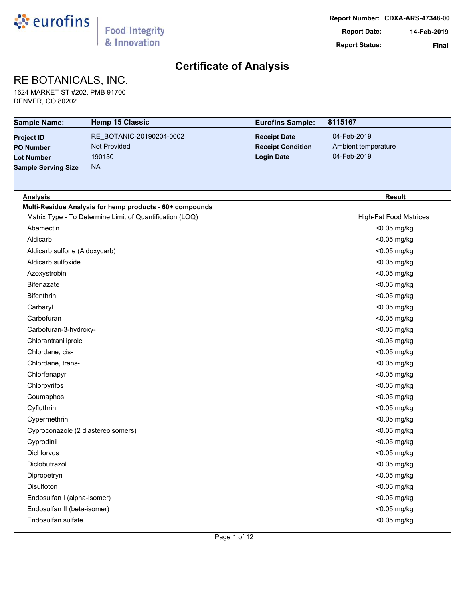

## RE BOTANICALS, INC.

1624 MARKET ST #202, PMB 91700 DENVER, CO 80202

| <b>Sample Name:</b>                | <b>Hemp 15 Classic</b>                                   | <b>Eurofins Sample:</b>  | 8115167                       |
|------------------------------------|----------------------------------------------------------|--------------------------|-------------------------------|
| <b>Project ID</b>                  | RE_BOTANIC-20190204-0002                                 | <b>Receipt Date</b>      | 04-Feb-2019                   |
| <b>PO Number</b>                   | <b>Not Provided</b>                                      | <b>Receipt Condition</b> | Ambient temperature           |
| <b>Lot Number</b>                  | 190130                                                   | <b>Login Date</b>        | 04-Feb-2019                   |
| <b>Sample Serving Size</b>         | <b>NA</b>                                                |                          |                               |
|                                    |                                                          |                          |                               |
| <b>Analysis</b>                    |                                                          |                          | <b>Result</b>                 |
|                                    | Multi-Residue Analysis for hemp products - 60+ compounds |                          |                               |
|                                    | Matrix Type - To Determine Limit of Quantification (LOQ) |                          | <b>High-Fat Food Matrices</b> |
| Abamectin                          |                                                          |                          | <0.05 mg/kg                   |
| Aldicarb                           |                                                          |                          | <0.05 mg/kg                   |
| Aldicarb sulfone (Aldoxycarb)      |                                                          |                          | <0.05 mg/kg                   |
| Aldicarb sulfoxide                 |                                                          |                          | <0.05 mg/kg                   |
| Azoxystrobin                       |                                                          |                          | <0.05 mg/kg                   |
| <b>Bifenazate</b>                  |                                                          |                          | <0.05 mg/kg                   |
| <b>Bifenthrin</b>                  |                                                          |                          | <0.05 mg/kg                   |
| Carbaryl                           |                                                          |                          | <0.05 mg/kg                   |
| Carbofuran                         |                                                          |                          | <0.05 mg/kg                   |
| Carbofuran-3-hydroxy-              |                                                          |                          | <0.05 mg/kg                   |
| Chlorantraniliprole                |                                                          |                          | <0.05 mg/kg                   |
| Chlordane, cis-                    |                                                          |                          | <0.05 mg/kg                   |
| Chlordane, trans-                  |                                                          |                          | <0.05 mg/kg                   |
| Chlorfenapyr                       |                                                          |                          | <0.05 mg/kg                   |
| Chlorpyrifos                       |                                                          |                          | <0.05 mg/kg                   |
| Coumaphos                          |                                                          |                          | <0.05 mg/kg                   |
| Cyfluthrin                         |                                                          |                          | <0.05 mg/kg                   |
| Cypermethrin                       |                                                          |                          | <0.05 mg/kg                   |
| Cyproconazole (2 diastereoisomers) |                                                          |                          | <0.05 mg/kg                   |
| Cyprodinil                         |                                                          |                          | <0.05 mg/kg                   |
| Dichlorvos                         |                                                          |                          | <0.05 mg/kg                   |
| Diclobutrazol                      |                                                          |                          | <0.05 mg/kg                   |
| Dipropetryn                        |                                                          |                          | <0.05 mg/kg                   |
| Disulfoton                         |                                                          |                          | <0.05 mg/kg                   |
| Endosulfan I (alpha-isomer)        |                                                          |                          | <0.05 mg/kg                   |
| Endosulfan II (beta-isomer)        |                                                          |                          | <0.05 mg/kg                   |
| Endosulfan sulfate                 |                                                          |                          | <0.05 mg/kg                   |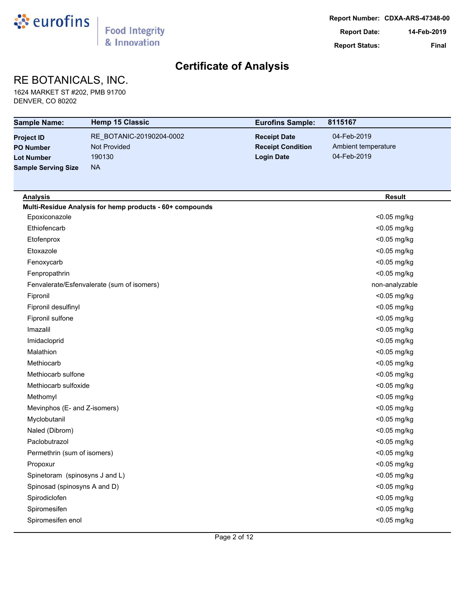

## RE BOTANICALS, INC.

1624 MARKET ST #202, PMB 91700 DENVER, CO 80202

| <b>Sample Name:</b>            | <b>Hemp 15 Classic</b>                                   | <b>Eurofins Sample:</b>  | 8115167             |
|--------------------------------|----------------------------------------------------------|--------------------------|---------------------|
| <b>Project ID</b>              | RE_BOTANIC-20190204-0002                                 | <b>Receipt Date</b>      | 04-Feb-2019         |
| <b>PO Number</b>               | <b>Not Provided</b>                                      | <b>Receipt Condition</b> | Ambient temperature |
| <b>Lot Number</b>              | 190130                                                   | <b>Login Date</b>        | 04-Feb-2019         |
| <b>Sample Serving Size</b>     | <b>NA</b>                                                |                          |                     |
|                                |                                                          |                          |                     |
| <b>Analysis</b>                |                                                          |                          | <b>Result</b>       |
|                                | Multi-Residue Analysis for hemp products - 60+ compounds |                          |                     |
| Epoxiconazole                  |                                                          |                          | <0.05 mg/kg         |
| Ethiofencarb                   |                                                          |                          | <0.05 mg/kg         |
| Etofenprox                     |                                                          |                          | <0.05 mg/kg         |
| Etoxazole                      |                                                          |                          | <0.05 mg/kg         |
| Fenoxycarb                     |                                                          |                          | <0.05 mg/kg         |
| Fenpropathrin                  |                                                          |                          | <0.05 mg/kg         |
|                                | Fenvalerate/Esfenvalerate (sum of isomers)               |                          | non-analyzable      |
| Fipronil                       |                                                          |                          | <0.05 mg/kg         |
| Fipronil desulfinyl            |                                                          |                          | <0.05 mg/kg         |
| Fipronil sulfone               |                                                          |                          | <0.05 mg/kg         |
| Imazalil                       |                                                          |                          | <0.05 mg/kg         |
| Imidacloprid                   |                                                          |                          | <0.05 mg/kg         |
| Malathion                      |                                                          |                          | <0.05 mg/kg         |
| Methiocarb                     |                                                          |                          | <0.05 mg/kg         |
| Methiocarb sulfone             |                                                          |                          | <0.05 mg/kg         |
| Methiocarb sulfoxide           |                                                          |                          | <0.05 mg/kg         |
| Methomyl                       |                                                          |                          | <0.05 mg/kg         |
| Mevinphos (E- and Z-isomers)   |                                                          |                          | <0.05 mg/kg         |
| Myclobutanil                   |                                                          |                          | <0.05 mg/kg         |
| Naled (Dibrom)                 |                                                          |                          | <0.05 mg/kg         |
| Paclobutrazol                  |                                                          |                          | <0.05 mg/kg         |
| Permethrin (sum of isomers)    |                                                          |                          | <0.05 mg/kg         |
| Propoxur                       |                                                          |                          | <0.05 mg/kg         |
| Spinetoram (spinosyns J and L) |                                                          |                          | <0.05 mg/kg         |
| Spinosad (spinosyns A and D)   |                                                          |                          | <0.05 mg/kg         |
| Spirodiclofen                  |                                                          |                          | <0.05 mg/kg         |
| Spiromesifen                   |                                                          |                          | <0.05 mg/kg         |
| Spiromesifen enol              |                                                          |                          | <0.05 mg/kg         |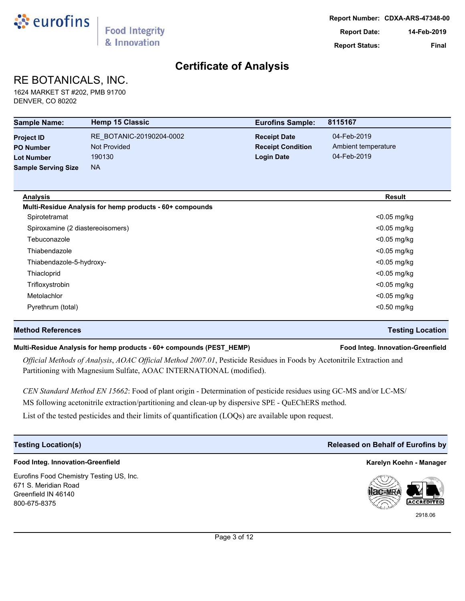

## RE BOTANICALS, INC.

1624 MARKET ST #202, PMB 91700 DENVER, CO 80202

| <b>Sample Name:</b>              | <b>Hemp 15 Classic</b>                                   | <b>Eurofins Sample:</b>  | 8115167             |
|----------------------------------|----------------------------------------------------------|--------------------------|---------------------|
| <b>Project ID</b>                | RE_BOTANIC-20190204-0002                                 | <b>Receipt Date</b>      | 04-Feb-2019         |
| <b>PO Number</b>                 | <b>Not Provided</b>                                      | <b>Receipt Condition</b> | Ambient temperature |
| <b>Lot Number</b>                | 190130                                                   | <b>Login Date</b>        | 04-Feb-2019         |
| <b>Sample Serving Size</b>       | <b>NA</b>                                                |                          |                     |
| <b>Analysis</b>                  |                                                          |                          | <b>Result</b>       |
|                                  | Multi-Residue Analysis for hemp products - 60+ compounds |                          |                     |
| Spirotetramat                    |                                                          |                          | <0.05 mg/kg         |
| Spiroxamine (2 diastereoisomers) |                                                          |                          | $<$ 0.05 mg/kg      |
| Tebuconazole                     |                                                          |                          | $<$ 0.05 mg/kg      |
| Thiabendazole                    |                                                          |                          | $<$ 0.05 mg/kg      |
| Thiabendazole-5-hydroxy-         |                                                          |                          | $<$ 0.05 mg/kg      |
| Thiacloprid                      |                                                          |                          | $<$ 0.05 mg/kg      |
| Trifloxystrobin                  |                                                          |                          | <0.05 mg/kg         |
| Metolachlor                      |                                                          |                          | <0.05 mg/kg         |
| Pyrethrum (total)                |                                                          |                          | <0.50 mg/kg         |

#### **Method References Testing Location**

#### **Multi-Residue Analysis for hemp products - 60+ compounds (PEST\_HEMP) Food Integ. Innovation-Greenfield**

*Official Methods of Analysis*, *AOAC Official Method 2007.01*, Pesticide Residues in Foods by Acetonitrile Extraction and Partitioning with Magnesium Sulfate, AOAC INTERNATIONAL (modified).

*CEN Standard Method EN 15662*: Food of plant origin - Determination of pesticide residues using GC-MS and/or LC-MS/ MS following acetonitrile extraction/partitioning and clean-up by dispersive SPE - QuEChERS method.

List of the tested pesticides and their limits of quantification (LOQs) are available upon request.

### **Food Integ. Innovation-Greenfield Karelyn Koehn - Manager**

Eurofins Food Chemistry Testing US, Inc. 671 S. Meridian Road Greenfield IN 46140 800-675-8375

### **Testing Location(s) Released on Behalf of Eurofins by**



2918.06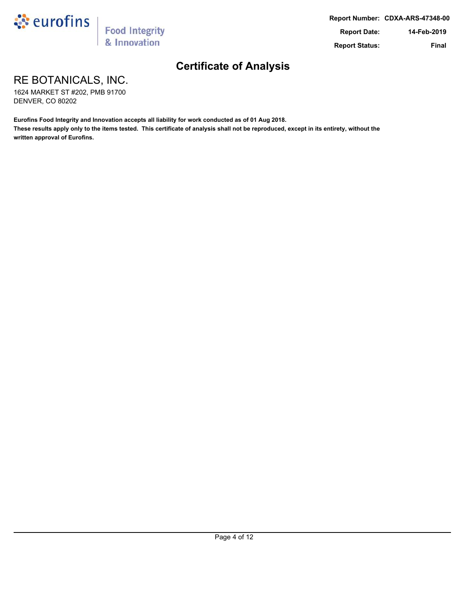

RE BOTANICALS, INC.

1624 MARKET ST #202, PMB 91700 DENVER, CO 80202

**Eurofins Food Integrity and Innovation accepts all liability for work conducted as of 01 Aug 2018.**

**These results apply only to the items tested. This certificate of analysis shall not be reproduced, except in its entirety, without the written approval of Eurofins.**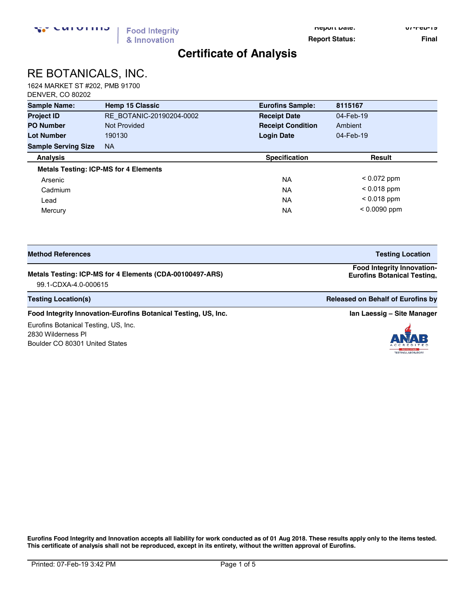**Report Date: 07-Feb-19**

**Report Status:** Final

## **Certificate of Analysis**

# RE BOTANICALS, INC.

1624 MARKET ST #202, PMB 91700 DENVER, CO 80202

| <b>Sample Name:</b>        | <b>Hemp 15 Classic</b>                       | <b>Eurofins Sample:</b>  | 8115167        |
|----------------------------|----------------------------------------------|--------------------------|----------------|
| <b>Project ID</b>          | RE BOTANIC-20190204-0002                     | <b>Receipt Date</b>      | 04-Feb-19      |
| <b>PO Number</b>           | Not Provided                                 | <b>Receipt Condition</b> | Ambient        |
| <b>Lot Number</b>          | 190130                                       | <b>Login Date</b>        | 04-Feb-19      |
| <b>Sample Serving Size</b> | <b>NA</b>                                    |                          |                |
| <b>Analysis</b>            |                                              | <b>Specification</b>     | <b>Result</b>  |
|                            | <b>Metals Testing: ICP-MS for 4 Elements</b> |                          |                |
| Arsenic                    |                                              | <b>NA</b>                | $< 0.072$ ppm  |
| Cadmium                    |                                              | <b>NA</b>                | $< 0.018$ ppm  |
| Lead                       |                                              | <b>NA</b>                | $< 0.018$ ppm  |
| Mercury                    |                                              | <b>NA</b>                | $< 0.0090$ ppm |

| <b>Method References</b>                                 | <b>Testing Location</b>                                                 |
|----------------------------------------------------------|-------------------------------------------------------------------------|
| Metals Testing: ICP-MS for 4 Elements (CDA-00100497-ARS) | <b>Food Integrity Innovation-</b><br><b>Eurofins Botanical Testing.</b> |

99.1-CDXA-4.0-000615 **US, Inc.** 

**Testing Location(s) Released on Behalf of Eurofins by Released on Behalf of Eurofins by Released on Behalf of Eurofins by** 

#### **Food Integrity Innovation-Eurofins Botanical Testing, US, Inc. <b>In Accord 2018 In Laessig –** Site Manager

Eurofins Botanical Testing, US, Inc. 2830 Wilderness Pl Boulder CO 80301 United States